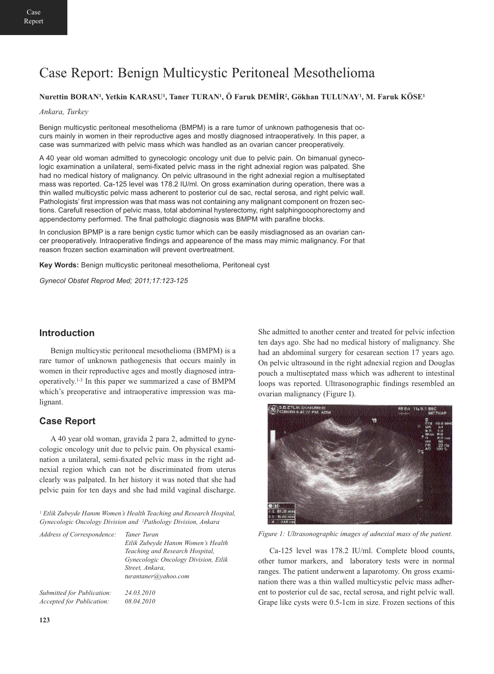# Case Report: Benign Multicystic Peritoneal Mesothelioma

# **Nurettin BORAN1, Yetkin KARASU1, Taner TURAN1, Ö Faruk DEMİR2, Gökhan TULUNAY1, M. Faruk KÖSE1**

#### *Ankara, Turkey*

Benign multicystic peritoneal mesothelioma (BMPM) is a rare tumor of unknown pathogenesis that occurs mainly in women in their reproductive ages and mostly diagnosed intraoperatively. In this paper, a case was summarized with pelvic mass which was handled as an ovarian cancer preoperatively.

A 40 year old woman admitted to gynecologic oncology unit due to pelvic pain. On bimanual gynecologic examination a unilateral, semi-fixated pelvic mass in the right adnexial region was palpated. She had no medical history of malignancy. On pelvic ultrasound in the right adnexial region a multiseptated mass was reported. Ca-125 level was 178.2 IU/ml. On gross examination during operation, there was a thin walled multicystic pelvic mass adherent to posterior cul de sac, rectal serosa, and right pelvic wall. Pathologists' first impression was that mass was not containing any malignant component on frozen sections. Carefull resection of pelvic mass, total abdominal hysterectomy, right salphingooophorectomy and appendectomy performed. The final pathologic diagnosis was BMPM with parafine blocks.

In conclusion BPMP is a rare benign cystic tumor which can be easily misdiagnosed as an ovarian cancer preoperatively. Intraoperative findings and appearence of the mass may mimic malignancy. For that reason frozen section examination will prevent overtreatment.

**Key Words:** Benign multicystic peritoneal mesothelioma, Peritoneal cyst

*Gynecol Obstet Reprod Med; 2011;17:123-125*

## **Introduction**

Benign multicystic peritoneal mesothelioma (BMPM) is a rare tumor of unknown pathogenesis that occurs mainly in women in their reproductive ages and mostly diagnosed intraoperatively.1-3 In this paper we summarized a case of BMPM which's preoperative and intraoperative impression was malignant.

#### **Case Report**

A 40 year old woman, gravida 2 para 2, admitted to gynecologic oncology unit due to pelvic pain. On physical examination a unilateral, semi-fixated pelvic mass in the right adnexial region which can not be discriminated from uterus clearly was palpated. In her history it was noted that she had pelvic pain for ten days and she had mild vaginal discharge.

*<sup>1</sup> Etlik Zubeyde Hanım Women's Health Teaching and Research Hospital, Gynecologic Oncology Division and 2Pathology Division, Ankara*

| Address of Correspondence: | Taner Turan<br>Etlik Zubeyde Hanım Women's Health<br>Teaching and Research Hospital,<br>Gynecologic Oncology Division, Etlik<br>Street, Ankara,<br>turantaner@yahoo.com |
|----------------------------|-------------------------------------------------------------------------------------------------------------------------------------------------------------------------|
| Submitted for Publication: | 24.03.2010                                                                                                                                                              |
| Accepted for Publication:  | 08.04.2010                                                                                                                                                              |

She admitted to another center and treated for pelvic infection ten days ago. She had no medical history of malignancy. She had an abdominal surgery for cesarean section 17 years ago. On pelvic ultrasound in the right adnexial region and Douglas pouch a multiseptated mass which was adherent to intestinal loops was reported. Ultrasonographic findings resembled an ovarian malignancy (Figure I).



*Figure 1: Ultrasonographic images of adnexial mass of the patient.*

Ca-125 level was 178.2 IU/ml. Complete blood counts, other tumor markers, and laboratory tests were in normal ranges. The patient underwent a laparotomy. On gross examination there was a thin walled multicystic pelvic mass adherent to posterior cul de sac, rectal serosa, and right pelvic wall. Grape like cysts were 0.5-1cm in size. Frozen sections of this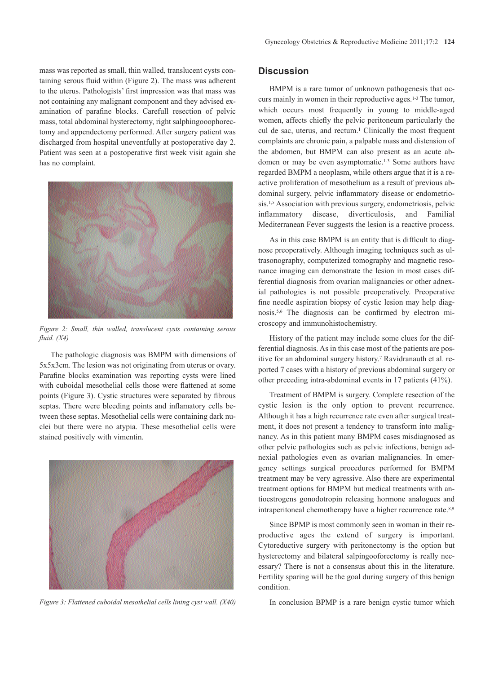mass was reported as small, thin walled, translucent cysts containing serous fluid within (Figure 2). The mass was adherent to the uterus. Pathologists' first impression was that mass was not containing any malignant component and they advised examination of parafine blocks. Carefull resection of pelvic mass, total abdominal hysterectomy, right salphingooophorectomy and appendectomy performed. After surgery patient was discharged from hospital uneventfully at postoperative day 2. Patient was seen at a postoperative first week visit again she has no complaint.



*Figure 2: Small, thin walled, translucent cysts containing serous fluid. (X4)*

The pathologic diagnosis was BMPM with dimensions of 5x5x3cm. The lesion was not originating from uterus or ovary. Parafine blocks examination was reporting cysts were lined with cuboidal mesothelial cells those were flattened at some points (Figure 3). Cystic structures were separated by fibrous septas. There were bleeding points and inflamatory cells between these septas. Mesothelial cells were containing dark nuclei but there were no atypia. These mesothelial cells were stained positively with vimentin.



*Figure 3: Flattened cuboidal mesothelial cells lining cyst wall.* (*X40*) In conclusion BPMP is a rare benign cystic tumor which

### **Discussion**

BMPM is a rare tumor of unknown pathogenesis that occurs mainly in women in their reproductive ages.1-3 The tumor, which occurs most frequently in young to middle-aged women, affects chiefly the pelvic peritoneum particularly the cul de sac, uterus, and rectum.<sup>1</sup> Clinically the most frequent complaints are chronic pain, a palpable mass and distension of the abdomen, but BMPM can also present as an acute abdomen or may be even asymptomatic.<sup>1-3</sup> Some authors have regarded BMPM a neoplasm, while others argue that it is a reactive proliferation of mesothelium as a result of previous abdominal surgery, pelvic inflammatory disease or endometriosis.<sup>1,5</sup> Association with previous surgery, endometriosis, pelvic inflammatory disease, diverticulosis, and Familial Mediterranean Fever suggests the lesion is a reactive process.

As in this case BMPM is an entity that is difficult to diagnose preoperatively. Although imaging techniques such as ultrasonography, computerized tomography and magnetic resonance imaging can demonstrate the lesion in most cases differential diagnosis from ovarian malignancies or other adnexial pathologies is not possible preoperatively. Preoperative fine needle aspiration biopsy of cystic lesion may help diagnosis.5,6 The diagnosis can be confirmed by electron microscopy and immunohistochemistry.

History of the patient may include some clues for the differential diagnosis. As in this case most of the patients are positive for an abdominal surgery history.7 Ravidranauth et al. reported 7 cases with a history of previous abdominal surgery or other preceding intra-abdominal events in 17 patients (41%).

Treatment of BMPM is surgery. Complete resection of the cystic lesion is the only option to prevent recurrence. Although it has a high recurrence rate even after surgical treatment, it does not present a tendency to transform into malignancy. As in this patient many BMPM cases misdiagnosed as other pelvic pathologies such as pelvic infections, benign adnexial pathologies even as ovarian malignancies. In emergency settings surgical procedures performed for BMPM treatment may be very agressive. Also there are experimental treatment options for BMPM but medical treatments with antioestrogens gonodotropin releasing hormone analogues and intraperitoneal chemotherapy have a higher recurrence rate.<sup>8,9</sup>

Since BPMP is most commonly seen in woman in their reproductive ages the extend of surgery is important. Cytoreductive surgery with peritonectomy is the option but hysterectomy and bilateral salpingooforectomy is really necessary? There is not a consensus about this in the literature. Fertility sparing will be the goal during surgery of this benign condition.